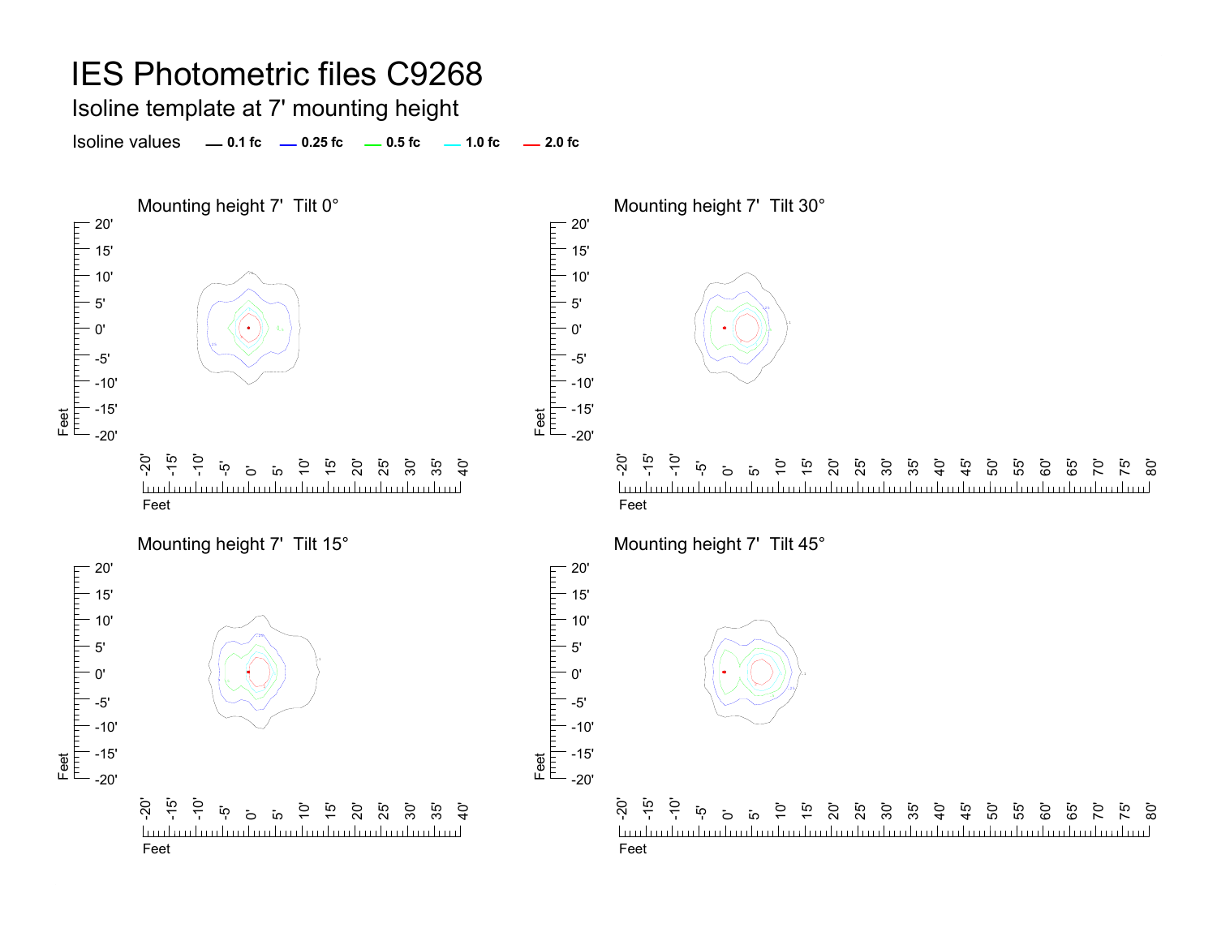Isoline template at 7' mounting height

**0.1 fc 0.25 fc 0.5 fc 2.0 fc**Isoline values $-1.0$  fc  $-2.0$  fc

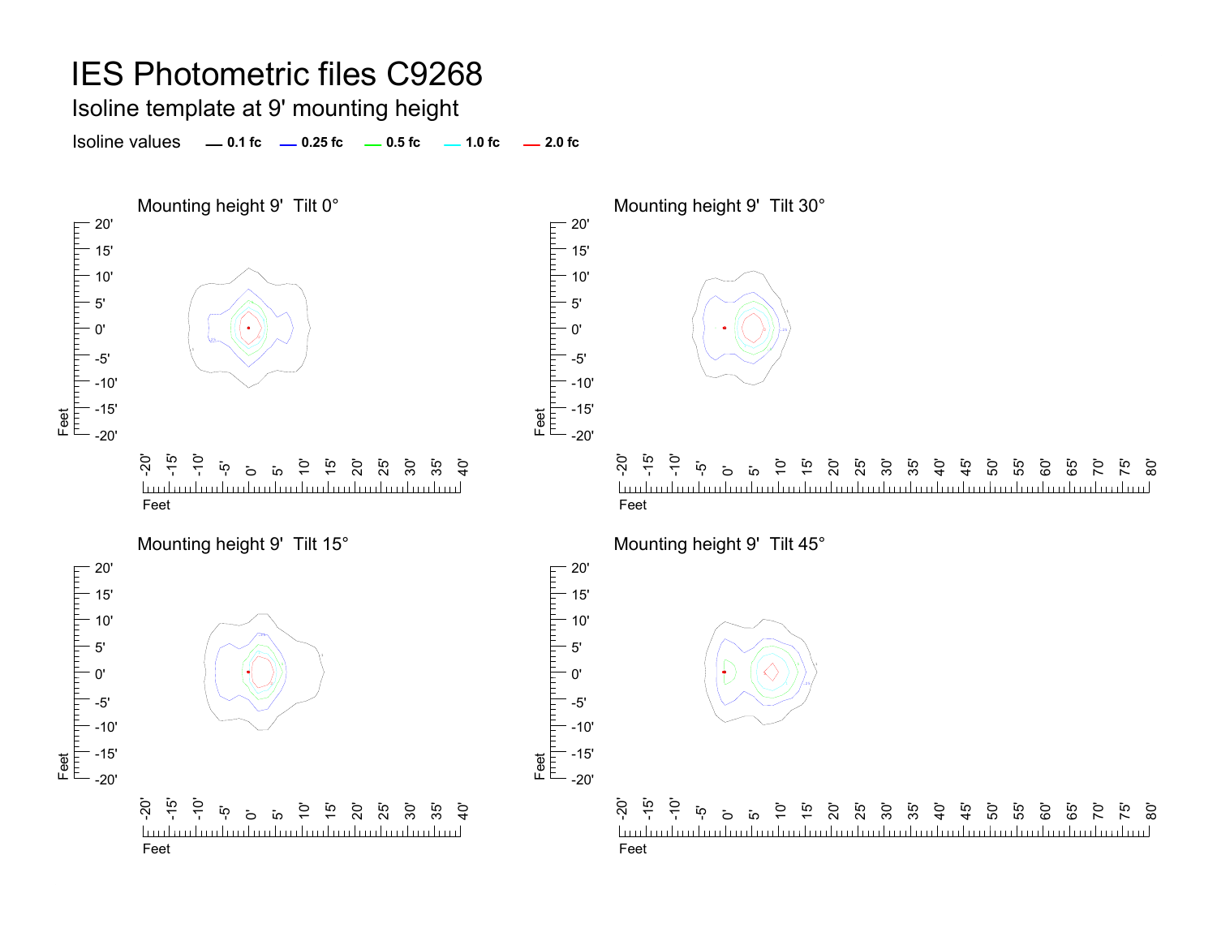Isoline template at 9' mounting height

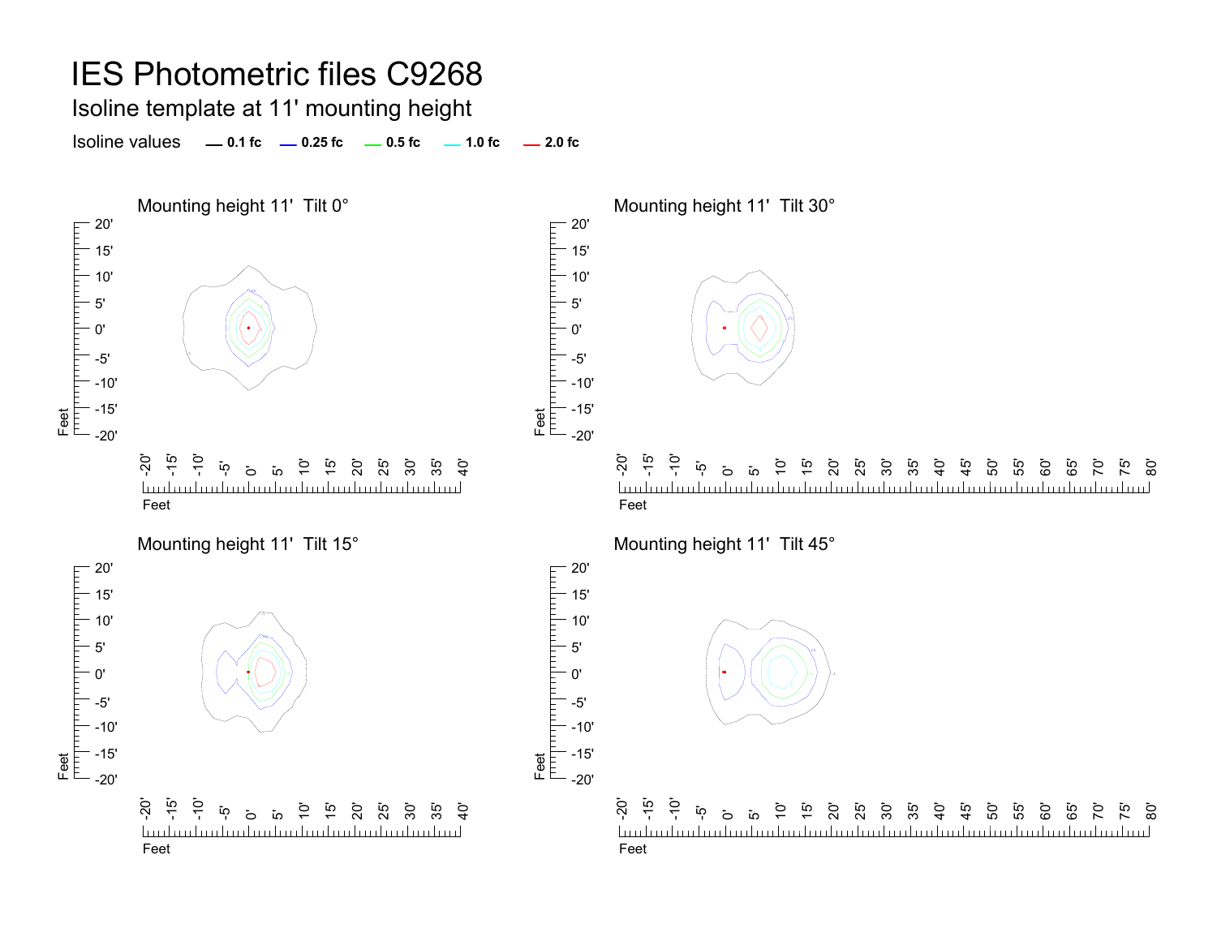Isoline template at 11' mounting height

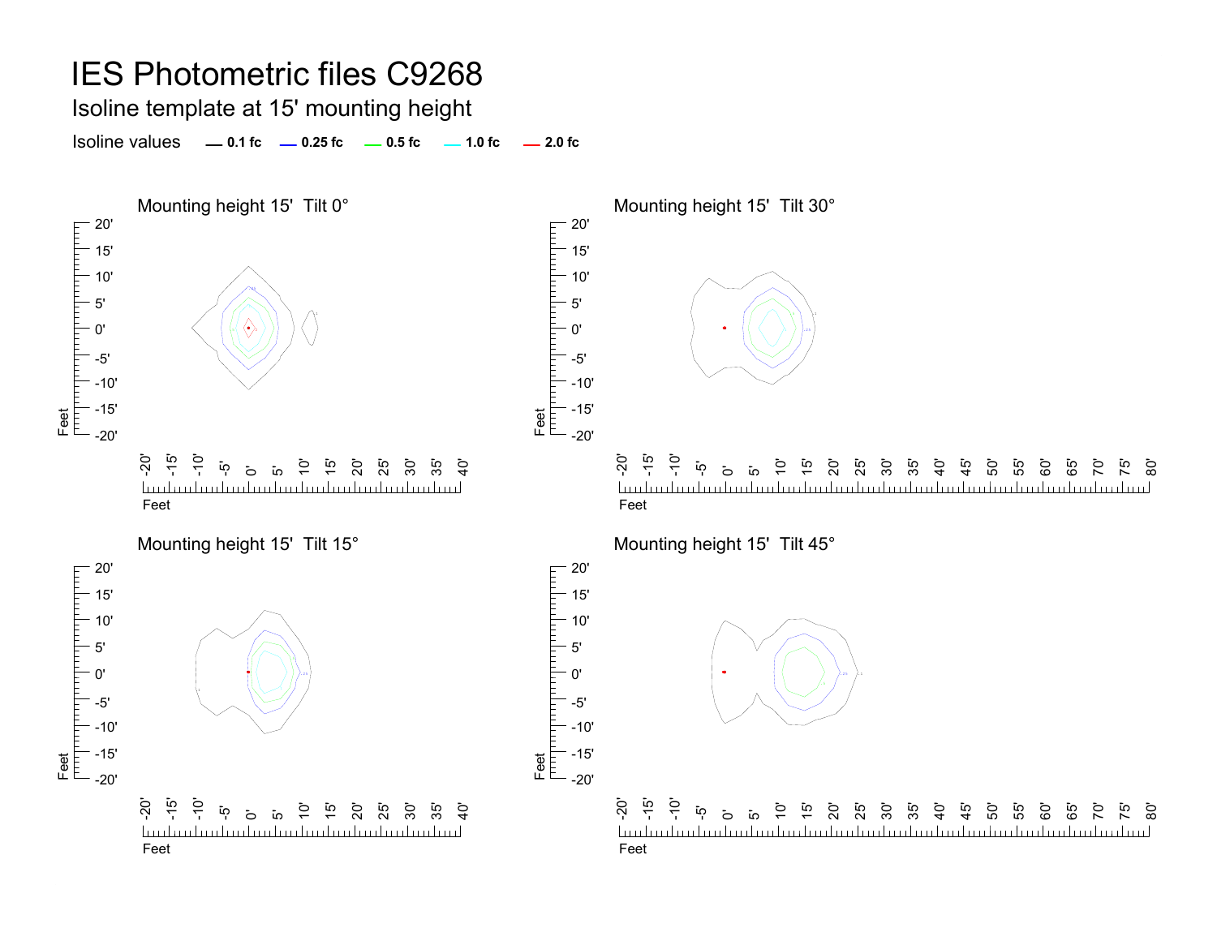Isoline template at 15' mounting height

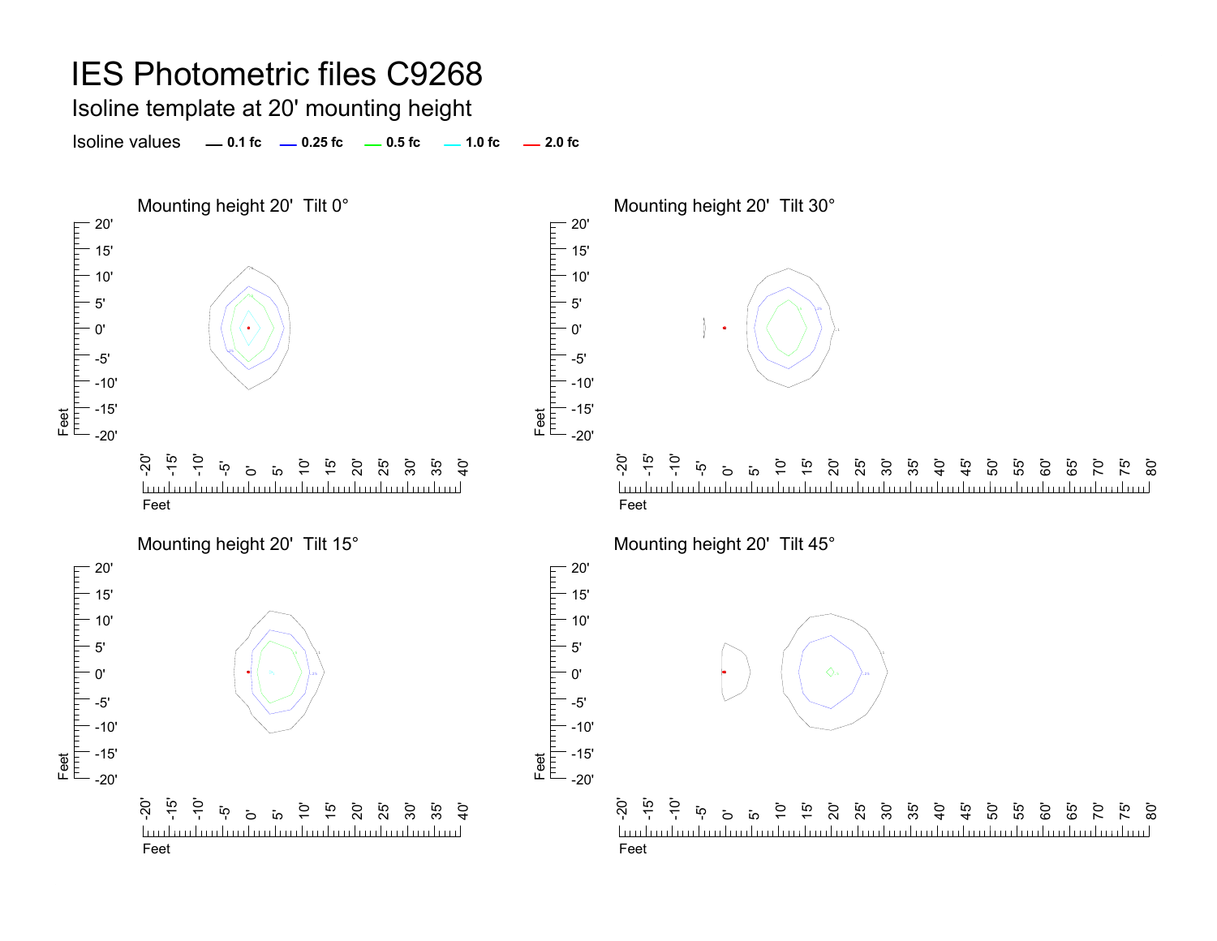Isoline template at 20' mounting height

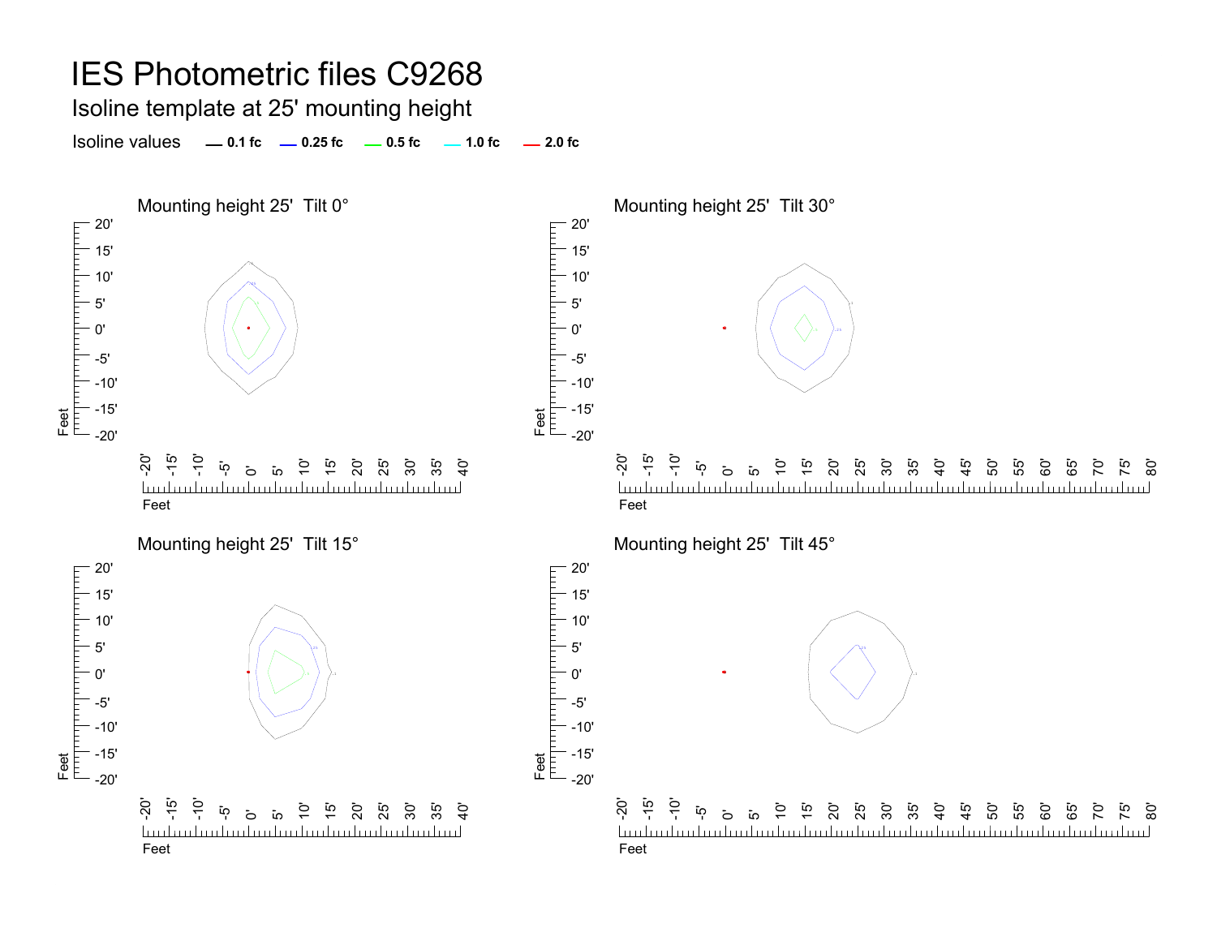Isoline template at 25' mounting height

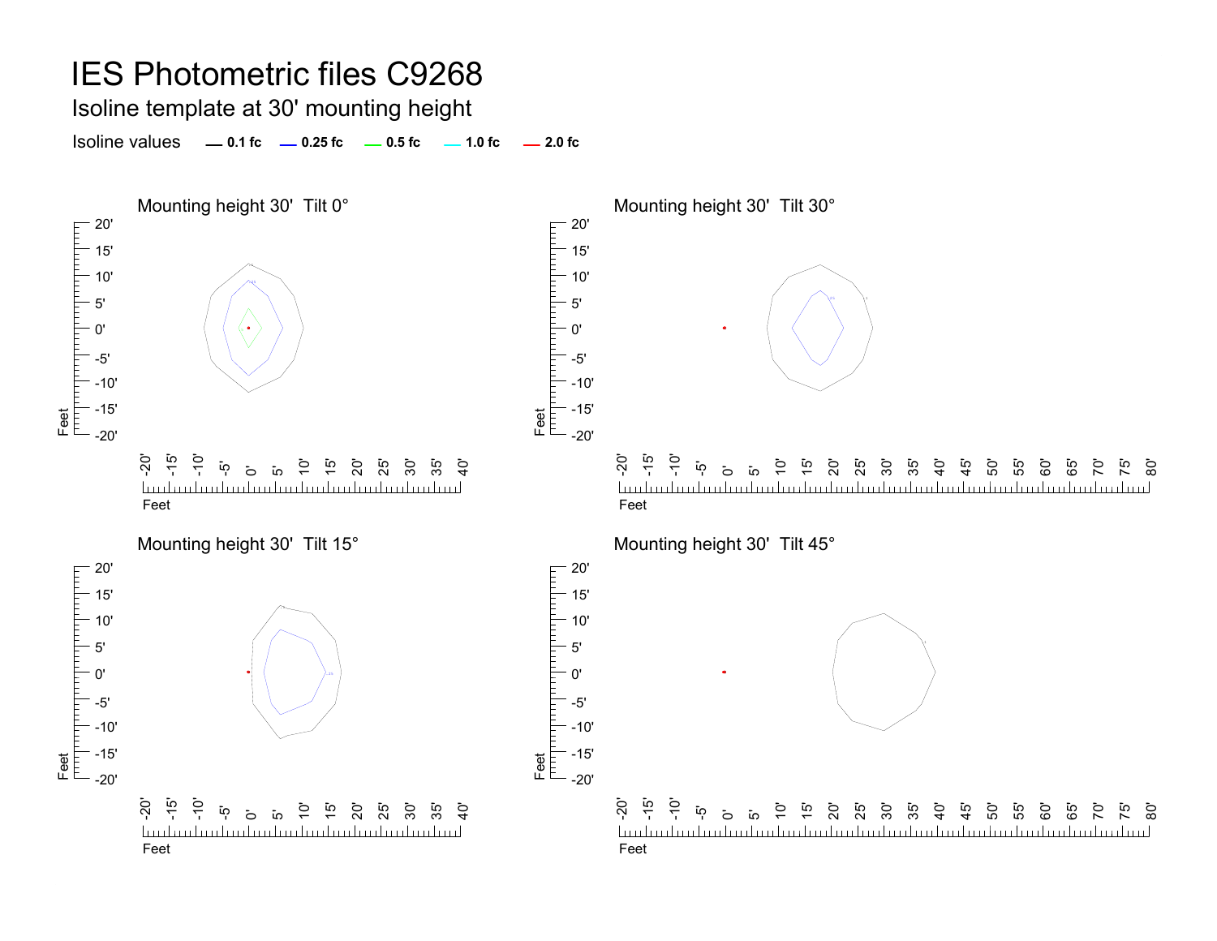Isoline template at 30' mounting height